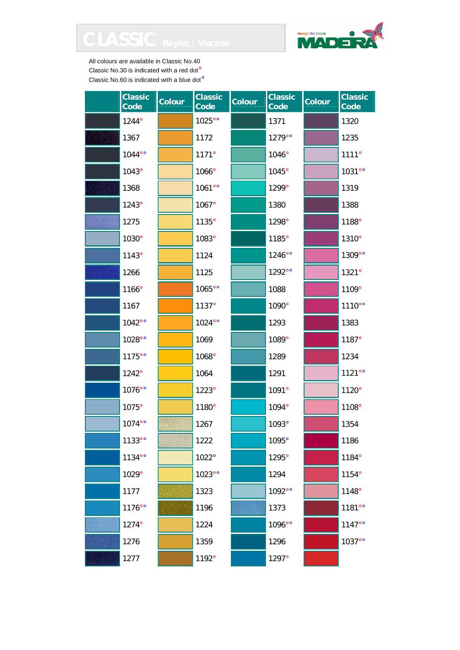

| <b>Classic</b><br>Code | <b>Colour</b> | <b>Classic</b><br>Code | <b>Colour</b> | <b>Classic</b><br>Code | Colour | <b>Classic</b><br>Code |
|------------------------|---------------|------------------------|---------------|------------------------|--------|------------------------|
| 1244°                  |               | 1025°°                 |               | 1371                   |        | 1320                   |
| 1367                   |               | 1172                   |               | 1279°°                 |        | 1235                   |
| 1044°°                 |               | 1171°                  |               | 1046°                  |        | 1111°                  |
| 1043°                  |               | 1066°                  |               | 1045°                  |        | 1031°°                 |
| 1368                   |               | 1061°°                 |               | 1299°                  |        | 1319                   |
| 1243°                  |               | 1067°                  |               | 1380                   |        | 1388                   |
| 1275                   |               | 1135°                  |               | 1298°                  |        | 1188°                  |
| 1030°                  |               | 1083°                  |               | 1185°                  |        | 1310°                  |
| 1143°                  |               | 1124                   |               | 1246°°                 |        | 1309°°                 |
| 1266                   |               | 1125                   |               | 1292°°                 |        | 1321°                  |
| 1166°                  |               | 1065°°                 |               | 1088                   |        | 1109°                  |
| 1167                   |               | 1137°                  |               | 1090°                  |        | 1110°°                 |
| 1042°°                 |               | 1024°°                 |               | 1293                   |        | 1383                   |
| 1028°°                 |               | 1069                   |               | 1089°                  |        | 1187°                  |
| 1175°°                 |               | 1068°                  |               | 1289                   |        | 1234                   |
| 1242°                  |               | 1064                   |               | 1291                   |        | 1121°°                 |
| 1076°°                 |               | 1223°                  |               | 1091°                  |        | 1120°                  |
| 1075°                  |               | 1180°                  |               | 1094°                  |        | 1108°                  |
| 1074°°                 |               | 1267                   |               | 1093°                  |        | 1354                   |
| 1133°°                 |               | 1222                   |               | 1095°                  |        | 1186                   |
| 1134°°                 |               | 1022°                  |               | 1295°                  |        | 1184°                  |
| 1029°                  |               | 1023°°                 |               | 1294                   |        | 1154°                  |
| 1177                   |               | 1323                   |               | 1092°°                 |        | 1148°                  |
| 1176°°                 |               | 1196                   |               | 1373                   |        | 1181°°                 |
| 1274°                  |               | 1224                   |               | 1096°°                 |        | 1147°°                 |
| 1276                   |               | 1359                   |               | 1296                   |        | 1037°°                 |
| 1277                   |               | 1192°                  |               | 1297°                  |        |                        |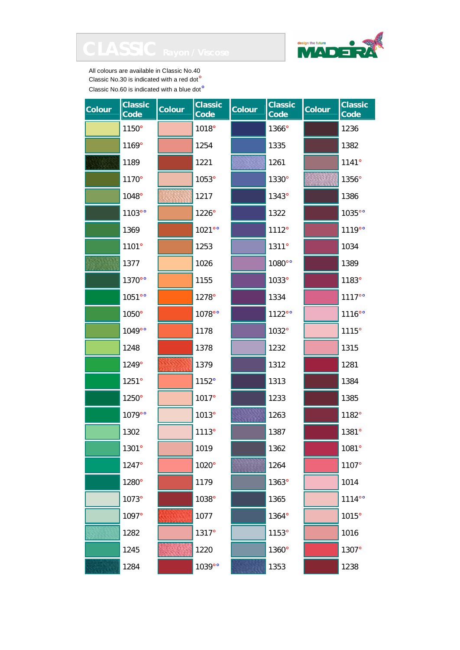



| Colour | <b>Classic</b><br>Code | <b>Colour</b> | <b>Classic</b><br>Code | <b>Colour</b> | <b>Classic</b><br>Code | Colour | <b>Classic</b><br>Code |
|--------|------------------------|---------------|------------------------|---------------|------------------------|--------|------------------------|
|        | 1150°                  |               | 1018°                  |               | 1366°                  |        | 1236                   |
|        | 1169°                  |               | 1254                   |               | 1335                   |        | 1382                   |
|        | 1189                   |               | 1221                   |               | 1261                   |        | 1141°                  |
|        | 1170°                  |               | 1053°                  |               | 1330°                  |        | 1356°                  |
|        | 1048°                  |               | 1217                   |               | 1343°                  |        | 1386                   |
|        | 1103°°                 |               | 1226°                  |               | 1322                   |        | 1035°°                 |
|        | 1369                   |               | 1021°°                 |               | 1112°                  |        | 1119°°                 |
|        | 1101°                  |               | 1253                   |               | 1311°                  |        | 1034                   |
|        | 1377                   |               | 1026                   |               | 1080°°                 |        | 1389                   |
|        | 1370°°                 |               | 1155                   |               | 1033°                  |        | 1183°                  |
|        | 1051°°                 |               | 1278°                  |               | 1334                   |        | 1117°°                 |
|        | 1050°                  |               | 1078°°                 |               | 1122°°                 |        | 1116°°                 |
|        | 1049°°                 |               | 1178                   |               | 1032°                  |        | 1115°                  |
|        | 1248                   |               | 1378                   |               | 1232                   |        | 1315                   |
|        | 1249°                  |               | 1379                   |               | 1312                   |        | 1281                   |
|        | 1251°                  |               | 1152°                  |               | 1313                   |        | 1384                   |
|        | 1250°                  |               | 1017°                  |               | 1233                   |        | 1385                   |
|        | 1079°°                 |               | 1013°                  |               | 1263                   |        | 1182°                  |
|        | 1302                   |               | 1113°                  |               | 1387                   |        | 1381°                  |
|        | 1301°                  |               | 1019                   |               | 1362                   |        | 1081°                  |
|        | 1247°                  |               | 1020°                  |               | 1264                   |        | 1107°                  |
|        | 1280°                  |               | 1179                   |               | 1363°                  |        | 1014                   |
|        | 1073°                  |               | 1038°                  |               | 1365                   |        | 1114°°                 |
|        | 1097°                  |               | 1077                   |               | 1364°                  |        | 1015°                  |
|        | 1282                   |               | 1317°                  |               | 1153°                  |        | 1016                   |
|        | 1245                   |               | 1220                   |               | 1360°                  |        | 1307°                  |
|        | 1284                   |               | 1039°°                 |               | 1353                   |        | 1238                   |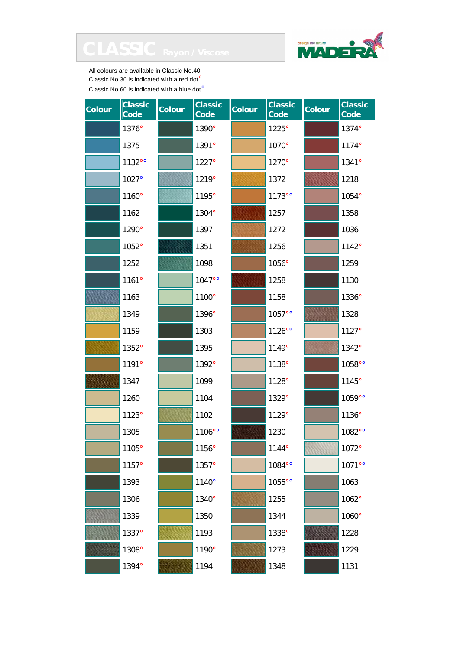



| <b>Colour</b> | <b>Classic</b><br>Code | <b>Colour</b> | <b>Classic</b><br>Code | <b>Colour</b> | <b>Classic</b><br>Code | <b>Colour</b> | <b>Classic</b><br>Code |
|---------------|------------------------|---------------|------------------------|---------------|------------------------|---------------|------------------------|
|               | 1376°                  |               | 1390°                  |               | 1225°                  |               | 1374°                  |
|               | 1375                   |               | 1391°                  |               | 1070°                  |               | 1174°                  |
|               | 1132°°                 |               | 1227°                  |               | 1270°                  |               | 1341°                  |
|               | 1027°                  |               | 1219°                  |               | 1372                   |               | 1218                   |
|               | 1160°                  |               | 1195°                  |               | 1173°°                 |               | 1054°                  |
|               | 1162                   |               | 1304°                  |               | 1257                   |               | 1358                   |
|               | 1290°                  |               | 1397                   |               | 1272                   |               | 1036                   |
|               | 1052°                  |               | 1351                   |               | 1256                   |               | 1142°                  |
|               | 1252                   |               | 1098                   |               | 1056°                  |               | 1259                   |
|               | 1161°                  |               | 1047°°                 |               | 1258                   |               | 1130                   |
|               | 1163                   |               | 1100°                  |               | 1158                   |               | 1336°                  |
|               | 1349                   |               | 1396°                  |               | 1057°°                 |               | 1328                   |
|               | 1159                   |               | 1303                   |               | 1126°°                 |               | 1127°                  |
|               | 1352°                  |               | 1395                   |               | 1149°                  |               | 1342°                  |
|               | 1191°                  |               | 1392°                  |               | 1138°                  |               | 1058°°                 |
|               | 1347                   |               | 1099                   |               | 1128°                  |               | 1145°                  |
|               | 1260                   |               | 1104                   |               | 1329°                  |               | 1059°°                 |
|               | 1123°                  |               | 1102                   |               | 1129°                  |               | 1136°                  |
|               | 1305                   |               | 1106°°                 |               | 1230                   |               | 1082°°                 |
|               | 1105°                  |               | 1156°                  |               | 1144°                  |               | 1072°                  |
|               | 1157°                  |               | 1357°                  |               | 1084°°                 |               | 1071°°                 |
|               | 1393                   |               | 1140°                  |               | 1055°°                 |               | 1063                   |
|               | 1306                   |               | 1340°                  |               | 1255                   |               | 1062°                  |
|               | 1339                   |               | 1350                   |               | 1344                   |               | 1060°                  |
|               | 1337°                  |               | 1193                   |               | 1338°                  |               | 1228                   |
|               | 1308°                  |               | 1190°                  |               | 1273                   |               | 1229                   |
|               | 1394°                  |               | 1194                   |               | 1348                   |               | 1131                   |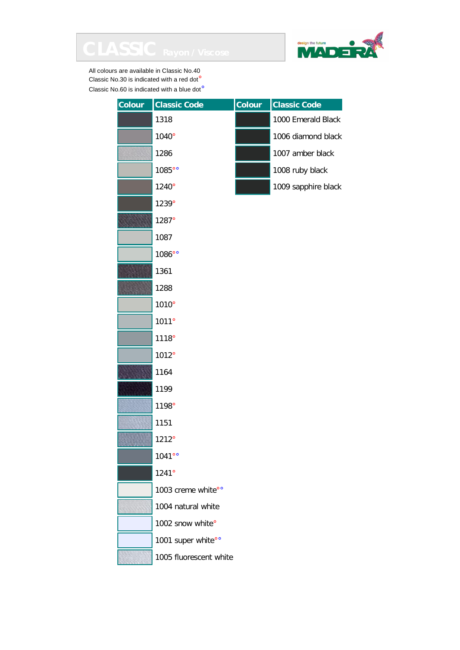



| Colour | <b>Classic Code</b>    | Colour | <b>Classic Code</b> |
|--------|------------------------|--------|---------------------|
|        | 1318                   |        | 1000 Emerald Black  |
|        | 1040°                  |        | 1006 diamond black  |
|        | 1286                   |        | 1007 amber black    |
|        | 1085°°                 |        | 1008 ruby black     |
|        | 1240°                  |        | 1009 sapphire black |
|        | 1239°                  |        |                     |
|        | 1287°                  |        |                     |
|        | 1087                   |        |                     |
|        | 1086°°                 |        |                     |
|        | 1361                   |        |                     |
|        | 1288                   |        |                     |
|        | 1010°                  |        |                     |
|        | 1011°                  |        |                     |
|        | 1118°                  |        |                     |
|        | 1012°                  |        |                     |
|        | 1164                   |        |                     |
|        | 1199                   |        |                     |
|        | 1198°                  |        |                     |
|        | 1151                   |        |                     |
|        | 1212°                  |        |                     |
|        | 1041°°                 |        |                     |
|        | 1241°                  |        |                     |
|        | 1003 creme white°°     |        |                     |
|        | 1004 natural white     |        |                     |
|        | 1002 snow white°       |        |                     |
|        | 1001 super white°°     |        |                     |
|        | 1005 fluorescent white |        |                     |